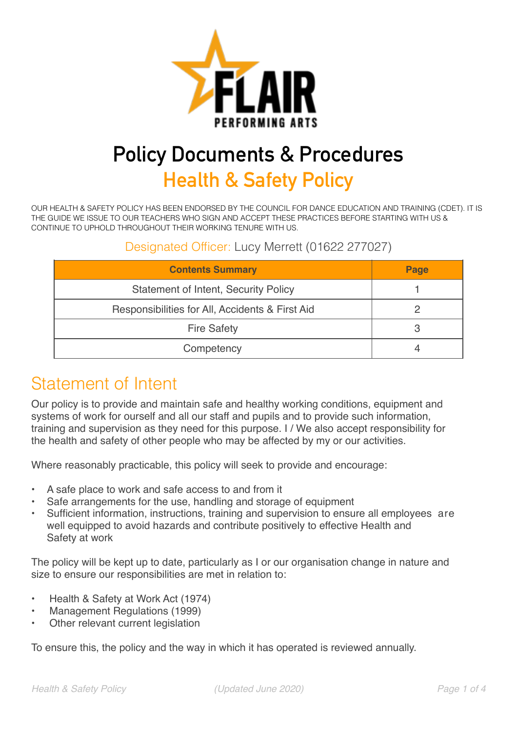

# **Policy Documents & Procedures**

**Health & Safety Policy** 

OUR HEALTH & SAFETY POLICY HAS BEEN ENDORSED BY THE COUNCIL FOR DANCE EDUCATION AND TRAINING (CDET). IT IS THE GUIDE WE ISSUE TO OUR TEACHERS WHO SIGN AND ACCEPT THESE PRACTICES BEFORE STARTING WITH US & CONTINUE TO UPHOLD THROUGHOUT THEIR WORKING TENURE WITH US.

#### Designated Officer: Lucy Merrett (01622 277027)

| <b>Contents Summary</b>                         | Page |
|-------------------------------------------------|------|
| <b>Statement of Intent, Security Policy</b>     |      |
| Responsibilities for All, Accidents & First Aid |      |
| <b>Fire Safety</b>                              |      |
| Competency                                      |      |

### Statement of Intent

Our policy is to provide and maintain safe and healthy working conditions, equipment and systems of work for ourself and all our staff and pupils and to provide such information, training and supervision as they need for this purpose. I / We also accept responsibility for the health and safety of other people who may be affected by my or our activities.

Where reasonably practicable, this policy will seek to provide and encourage:

- A safe place to work and safe access to and from it
- Safe arrangements for the use, handling and storage of equipment
- Sufficient information, instructions, training and supervision to ensure all employees are well equipped to avoid hazards and contribute positively to effective Health and Safety at work

The policy will be kept up to date, particularly as I or our organisation change in nature and size to ensure our responsibilities are met in relation to:

- Health & Safety at Work Act (1974)
- Management Regulations (1999)
- Other relevant current legislation

To ensure this, the policy and the way in which it has operated is reviewed annually.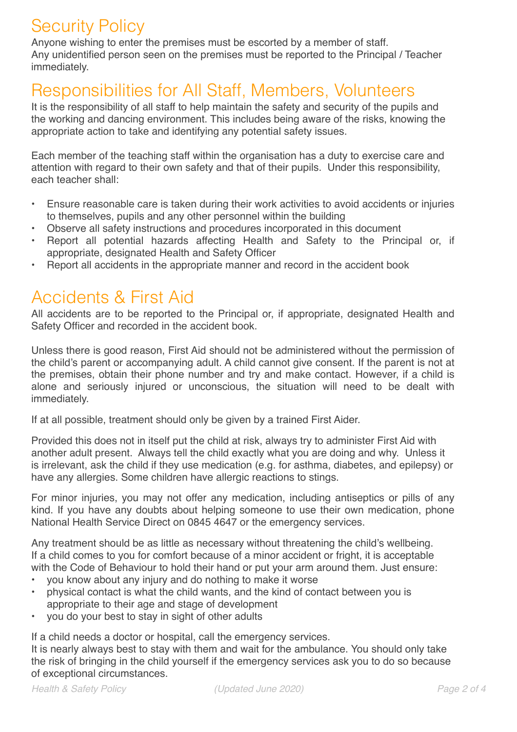# Security Policy

Anyone wishing to enter the premises must be escorted by a member of staff. Any unidentified person seen on the premises must be reported to the Principal / Teacher immediately.

## Responsibilities for All Staff, Members, Volunteers

It is the responsibility of all staff to help maintain the safety and security of the pupils and the working and dancing environment. This includes being aware of the risks, knowing the appropriate action to take and identifying any potential safety issues.

Each member of the teaching staff within the organisation has a duty to exercise care and attention with regard to their own safety and that of their pupils. Under this responsibility, each teacher shall:

- Ensure reasonable care is taken during their work activities to avoid accidents or injuries to themselves, pupils and any other personnel within the building
- Observe all safety instructions and procedures incorporated in this document
- Report all potential hazards affecting Health and Safety to the Principal or, if appropriate, designated Health and Safety Officer
- Report all accidents in the appropriate manner and record in the accident book

## Accidents & First Aid

All accidents are to be reported to the Principal or, if appropriate, designated Health and Safety Officer and recorded in the accident book.

Unless there is good reason, First Aid should not be administered without the permission of the child's parent or accompanying adult. A child cannot give consent. If the parent is not at the premises, obtain their phone number and try and make contact. However, if a child is alone and seriously injured or unconscious, the situation will need to be dealt with immediately.

If at all possible, treatment should only be given by a trained First Aider.

Provided this does not in itself put the child at risk, always try to administer First Aid with another adult present. Always tell the child exactly what you are doing and why. Unless it is irrelevant, ask the child if they use medication (e.g. for asthma, diabetes, and epilepsy) or have any allergies. Some children have allergic reactions to stings.

For minor injuries, you may not offer any medication, including antiseptics or pills of any kind. If you have any doubts about helping someone to use their own medication, phone National Health Service Direct on 0845 4647 or the emergency services.

Any treatment should be as little as necessary without threatening the child's wellbeing. If a child comes to you for comfort because of a minor accident or fright, it is acceptable with the Code of Behaviour to hold their hand or put your arm around them. Just ensure:

- you know about any injury and do nothing to make it worse
- physical contact is what the child wants, and the kind of contact between you is appropriate to their age and stage of development
- you do your best to stay in sight of other adults

If a child needs a doctor or hospital, call the emergency services.

It is nearly always best to stay with them and wait for the ambulance. You should only take the risk of bringing in the child yourself if the emergency services ask you to do so because of exceptional circumstances.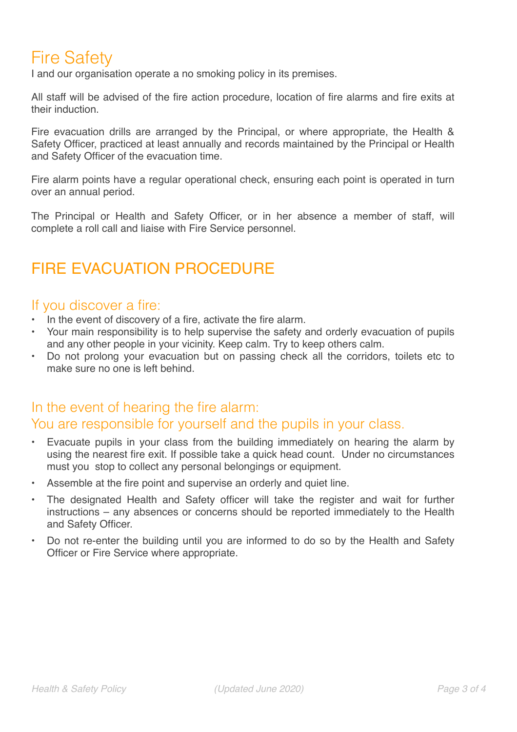# Fire Safety

I and our organisation operate a no smoking policy in its premises.

All staff will be advised of the fire action procedure, location of fire alarms and fire exits at their induction.

Fire evacuation drills are arranged by the Principal, or where appropriate, the Health & Safety Officer, practiced at least annually and records maintained by the Principal or Health and Safety Officer of the evacuation time.

Fire alarm points have a regular operational check, ensuring each point is operated in turn over an annual period.

The Principal or Health and Safety Officer, or in her absence a member of staff, will complete a roll call and liaise with Fire Service personnel.

### FIRE EVACUATION PROCEDURE

#### If you discover a fire:

- In the event of discovery of a fire, activate the fire alarm.
- Your main responsibility is to help supervise the safety and orderly evacuation of pupils and any other people in your vicinity. Keep calm. Try to keep others calm.
- Do not prolong your evacuation but on passing check all the corridors, toilets etc to make sure no one is left behind.

#### In the event of hearing the fire alarm: You are responsible for yourself and the pupils in your class.

- Evacuate pupils in your class from the building immediately on hearing the alarm by using the nearest fire exit. If possible take a quick head count. Under no circumstances must you stop to collect any personal belongings or equipment.
- Assemble at the fire point and supervise an orderly and quiet line.
- The designated Health and Safety officer will take the register and wait for further instructions – any absences or concerns should be reported immediately to the Health and Safety Officer.
- Do not re-enter the building until you are informed to do so by the Health and Safety Officer or Fire Service where appropriate.